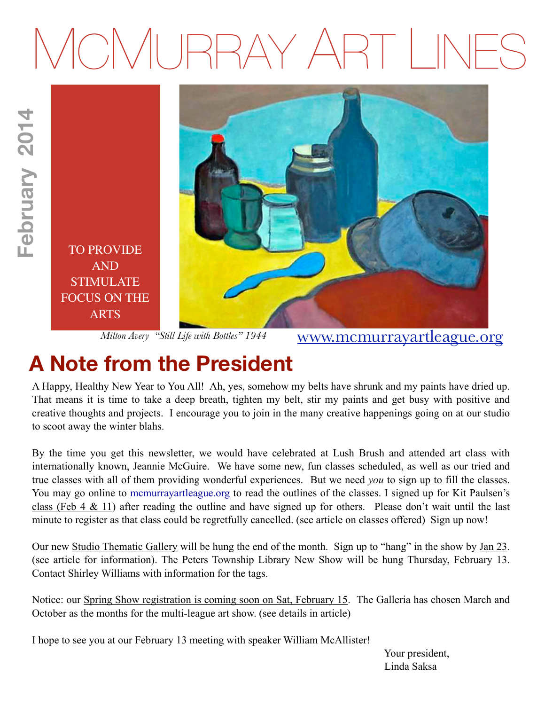# MCMURRAY ART LINES



*Milton Avery "Still Life with Bottles" 1944*

[www.mcmurrayartleague.org](http://www.mcmurrayartleague.org)

# **A Note from the President**

**February 2014**

February 2014

A Happy, Healthy New Year to You All! Ah, yes, somehow my belts have shrunk and my paints have dried up. That means it is time to take a deep breath, tighten my belt, stir my paints and get busy with positive and creative thoughts and projects. I encourage you to join in the many creative happenings going on at our studio to scoot away the winter blahs.

By the time you get this newsletter, we would have celebrated at Lush Brush and attended art class with internationally known, Jeannie McGuire. We have some new, fun classes scheduled, as well as our tried and true classes with all of them providing wonderful experiences. But we need *you* to sign up to fill the classes. You may go online to [mcmurrayartleague.org](http://mcmurrayartleague.org) to read the outlines of the classes. I signed up for Kit Paulsen's class (Feb 4  $\&$  11) after reading the outline and have signed up for others. Please don't wait until the last minute to register as that class could be regretfully cancelled. (see article on classes offered) Sign up now!

Our new Studio Thematic Gallery will be hung the end of the month. Sign up to "hang" in the show by Jan 23. (see article for information). The Peters Township Library New Show will be hung Thursday, February 13. Contact Shirley Williams with information for the tags.

Notice: our Spring Show registration is coming soon on Sat, February 15. The Galleria has chosen March and October as the months for the multi-league art show. (see details in article)

I hope to see you at our February 13 meeting with speaker William McAllister!

 Your president, Linda Saksa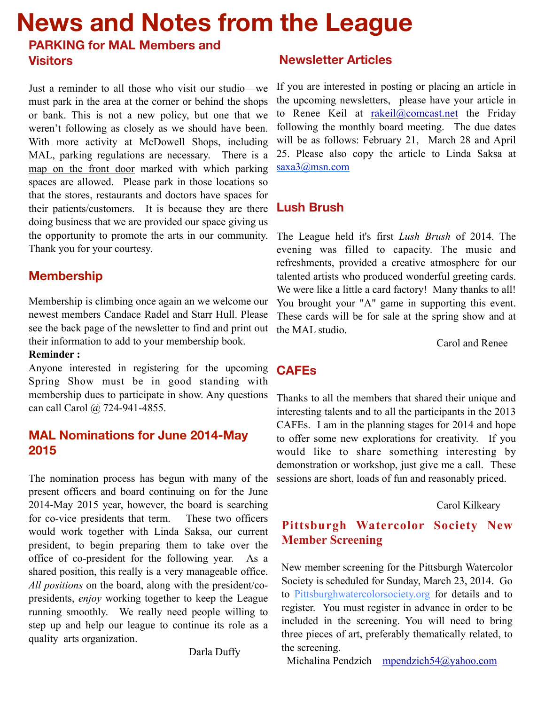# **News and Notes from the League**

# **PARKING for MAL Members and Visitors**

Just a reminder to all those who visit our studio—we must park in the area at the corner or behind the shops or bank. This is not a new policy, but one that we weren't following as closely as we should have been. With more activity at McDowell Shops, including MAL, parking regulations are necessary. There is a map on the front door marked with which parking spaces are allowed. Please park in those locations so that the stores, restaurants and doctors have spaces for their patients/customers. It is because they are there doing business that we are provided our space giving us the opportunity to promote the arts in our community. Thank you for your courtesy.

# **Membership**

Membership is climbing once again an we welcome our newest members Candace Radel and Starr Hull. Please see the back page of the newsletter to find and print out their information to add to your membership book.

#### **Reminder :**

Anyone interested in registering for the upcoming Spring Show must be in good standing with membership dues to participate in show. Any questions can call Carol @ 724-941-4855.

#### **MAL Nominations for June 2014-May 2015**

The nomination process has begun with many of the present officers and board continuing on for the June 2014-May 2015 year, however, the board is searching for co-vice presidents that term. These two officers would work together with Linda Saksa, our current president, to begin preparing them to take over the office of co-president for the following year. As a shared position, this really is a very manageable office. *All positions* on the board, along with the president/copresidents, *enjoy* working together to keep the League running smoothly. We really need people willing to step up and help our league to continue its role as a quality arts organization.

Darla Duffy

### **Newsletter Articles**

If you are interested in posting or placing an article in the upcoming newsletters, please have your article in to Renee Keil at rakeil@comcast.net the Friday following the monthly board meeting. The due dates will be as follows: February 21, March 28 and April 25. Please also copy the article to Linda Saksa at saxa3@msn.com

# **Lush Brush**

The League held it's first *Lush Brush* of 2014. The evening was filled to capacity. The music and refreshments, provided a creative atmosphere for our talented artists who produced wonderful greeting cards. We were like a little a card factory! Many thanks to all! You brought your "A" game in supporting this event. These cards will be for sale at the spring show and at the MAL studio.

Carol and Renee

# **CAFEs**

Thanks to all the members that shared their unique and interesting talents and to all the participants in the 2013 CAFEs. I am in the planning stages for 2014 and hope to offer some new explorations for creativity. If you would like to share something interesting by demonstration or workshop, just give me a call. These sessions are short, loads of fun and reasonably priced.

#### Carol Kilkeary

## **Pittsburgh Watercolor Society New Member Screening**

New member screening for the Pittsburgh Watercolor Society is scheduled for Sunday, March 23, 2014. Go to Pittsburghwatercolorsociety.org for details and to register. You must register in advance in order to be included in the screening. You will need to bring three pieces of art, preferably thematically related, to the screening.

Michalina Pendzich mpendzich54@yahoo.com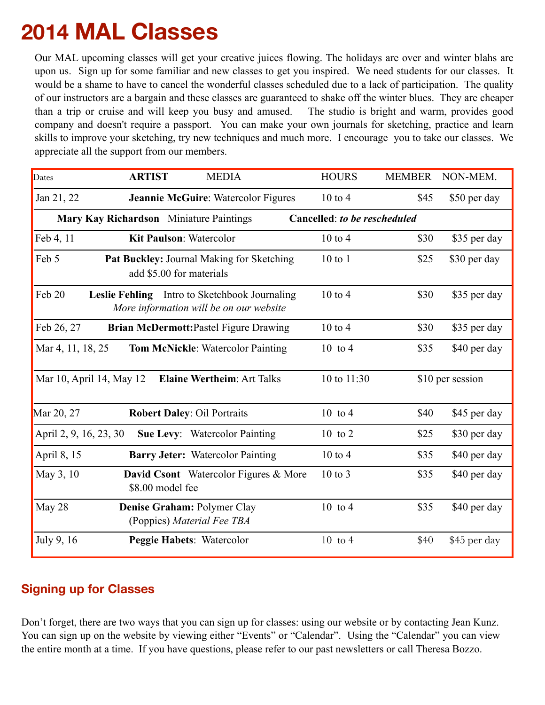# **2014 MAL Classes**

Our MAL upcoming classes will get your creative juices flowing. The holidays are over and winter blahs are upon us. Sign up for some familiar and new classes to get you inspired. We need students for our classes. It would be a shame to have to cancel the wonderful classes scheduled due to a lack of participation. The quality of our instructors are a bargain and these classes are guaranteed to shake off the winter blues. They are cheaper than a trip or cruise and will keep you busy and amused. The studio is bright and warm, provides good company and doesn't require a passport. You can make your own journals for sketching, practice and learn skills to improve your sketching, try new techniques and much more. I encourage you to take our classes. We appreciate all the support from our members.

| Dates                  | <b>ARTIST</b><br><b>MEDIA</b>                                                            | <b>HOURS</b>                 | <b>MEMBER</b> | NON-MEM.         |
|------------------------|------------------------------------------------------------------------------------------|------------------------------|---------------|------------------|
| Jan 21, 22             | Jeannie McGuire: Watercolor Figures                                                      | $10$ to $4$                  | \$45          | \$50 per day     |
|                        | Mary Kay Richardson Miniature Paintings                                                  | Cancelled: to be rescheduled |               |                  |
| Feb 4, 11              | <b>Kit Paulson: Watercolor</b>                                                           | $10$ to $4$                  | \$30          | \$35 per day     |
| Feb 5                  | <b>Pat Buckley: Journal Making for Sketching</b><br>add \$5.00 for materials             | $10$ to $1$                  | \$25          | \$30 per day     |
| Feb 20                 | Leslie Fehling Intro to Sketchbook Journaling<br>More information will be on our website | $10$ to $4$                  | \$30          | \$35 per day     |
| Feb 26, 27             | <b>Brian McDermott:Pastel Figure Drawing</b>                                             | $10 \text{ to } 4$           | \$30          | \$35 per day     |
| Mar 4, 11, 18, 25      | <b>Tom McNickle:</b> Watercolor Painting                                                 | $10$ to 4                    | \$35          | \$40 per day     |
|                        | Mar 10, April 14, May 12<br><b>Elaine Wertheim: Art Talks</b>                            | 10 to 11:30                  |               | \$10 per session |
| Mar 20, 27             | <b>Robert Daley: Oil Portraits</b>                                                       | $10$ to 4                    | \$40          | \$45 per day     |
| April 2, 9, 16, 23, 30 | <b>Sue Levy:</b> Watercolor Painting                                                     | 10 to 2                      | \$25          | \$30 per day     |
| April 8, 15            | <b>Barry Jeter:</b> Watercolor Painting                                                  | $10$ to $4$                  | \$35          | \$40 per day     |
| May 3, 10              | <b>David Csont</b> Watercolor Figures & More<br>\$8.00 model fee                         | $10$ to $3$                  | \$35          | \$40 per day     |
| May 28                 | Denise Graham: Polymer Clay<br>(Poppies) Material Fee TBA                                | 10 to 4                      | \$35          | \$40 per day     |
| July 9, 16             | Peggie Habets: Watercolor                                                                | $10$ to $4$                  | \$40          | \$45 per day     |

## **Signing up for Classes**

Don't forget, there are two ways that you can sign up for classes: using our website or by contacting Jean Kunz. You can sign up on the website by viewing either "Events" or "Calendar". Using the "Calendar" you can view the entire month at a time. If you have questions, please refer to our past newsletters or call Theresa Bozzo.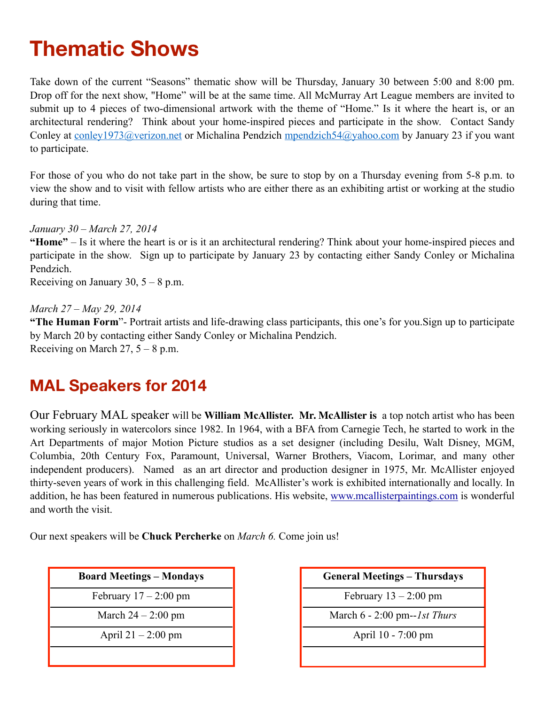# **Thematic Shows**

Take down of the current "Seasons" thematic show will be Thursday, January 30 between 5:00 and 8:00 pm. Drop off for the next show, "Home" will be at the same time. All McMurray Art League members are invited to submit up to 4 pieces of two-dimensional artwork with the theme of "Home." Is it where the heart is, or an architectural rendering? Think about your home-inspired pieces and participate in the show. Contact Sandy Conley at conley1973@verizon.net or Michalina Pendzich mpendzich54@yahoo.com by January 23 if you want to participate.

For those of you who do not take part in the show, be sure to stop by on a Thursday evening from 5-8 p.m. to view the show and to visit with fellow artists who are either there as an exhibiting artist or working at the studio during that time.

*January 30 – March 27, 2014* 

**"Home"** – Is it where the heart is or is it an architectural rendering? Think about your home-inspired pieces and participate in the show. Sign up to participate by January 23 by contacting either Sandy Conley or Michalina Pendzich.

Receiving on January 30,  $5 - 8$  p.m.

#### *March 27 – May 29, 2014*

**"The Human Form**"- Portrait artists and life-drawing class participants, this one's for you.Sign up to participate by March 20 by contacting either Sandy Conley or Michalina Pendzich. Receiving on March 27,  $5 - 8$  p.m.

# **MAL Speakers for 2014**

Our February MAL speaker will be **William McAllister. Mr. McAllister is** a top notch artist who has been working seriously in watercolors since 1982. In 1964, with a BFA from Carnegie Tech, he started to work in the Art Departments of major Motion Picture studios as a set designer (including Desilu, Walt Disney, MGM, Columbia, 20th Century Fox, Paramount, Universal, Warner Brothers, Viacom, Lorimar, and many other independent producers). Named as an art director and production designer in 1975, Mr. McAllister enjoyed thirty-seven years of work in this challenging field. McAllister's work is exhibited internationally and locally. In addition, he has been featured in numerous publications. His website, www.mcallisterpaintings.com is wonderful and worth the visit.

Our next speakers will be **Chuck Percherke** on *March 6.* Come join us!

| <b>Board Meetings – Mondays</b> |  |
|---------------------------------|--|
| February $17 - 2:00$ pm         |  |
| March $24 - 2:00$ pm            |  |
| April $21 - 2:00$ pm            |  |
|                                 |  |

| <b>General Meetings – Thursdays</b> |
|-------------------------------------|
| February $13 - 2:00$ pm             |
| March $6 - 2:00$ pm--1st Thurs      |
| April 10 - 7:00 pm                  |
|                                     |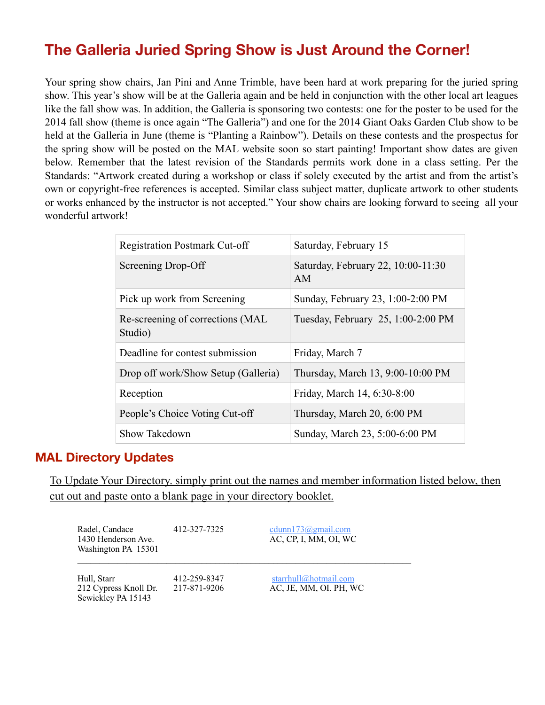# **The Galleria Juried Spring Show is Just Around the Corner!**

Your spring show chairs, Jan Pini and Anne Trimble, have been hard at work preparing for the juried spring show. This year's show will be at the Galleria again and be held in conjunction with the other local art leagues like the fall show was. In addition, the Galleria is sponsoring two contests: one for the poster to be used for the 2014 fall show (theme is once again "The Galleria") and one for the 2014 Giant Oaks Garden Club show to be held at the Galleria in June (theme is "Planting a Rainbow"). Details on these contests and the prospectus for the spring show will be posted on the MAL website soon so start painting! Important show dates are given below. Remember that the latest revision of the Standards permits work done in a class setting. Per the Standards: "Artwork created during a workshop or class if solely executed by the artist and from the artist's own or copyright-free references is accepted. Similar class subject matter, duplicate artwork to other students or works enhanced by the instructor is not accepted." Your show chairs are looking forward to seeing all your wonderful artwork!

| <b>Registration Postmark Cut-off</b>         | Saturday, February 15                    |  |
|----------------------------------------------|------------------------------------------|--|
| Screening Drop-Off                           | Saturday, February 22, 10:00-11:30<br>AM |  |
| Pick up work from Screening                  | Sunday, February 23, 1:00-2:00 PM        |  |
| Re-screening of corrections (MAL)<br>Studio) | Tuesday, February 25, 1:00-2:00 PM       |  |
| Deadline for contest submission              | Friday, March 7                          |  |
| Drop off work/Show Setup (Galleria)          | Thursday, March 13, 9:00-10:00 PM        |  |
| Reception                                    | Friday, March 14, 6:30-8:00              |  |
| People's Choice Voting Cut-off               | Thursday, March 20, 6:00 PM              |  |
| Show Takedown                                | Sunday, March 23, 5:00-6:00 PM           |  |

#### **MAL Directory Updates**

To Update Your Directory. simply print out the names and member information listed below, then cut out and paste onto a blank page in your directory booklet.

| Radel, Candace<br>1430 Henderson Ave.<br>Washington PA 15301 | 412-327-7325                 | cdunn173@gmail.com<br>AC, CP, I, MM, OI, WC     |
|--------------------------------------------------------------|------------------------------|-------------------------------------------------|
| Hull, Starr<br>212 Cypress Knoll Dr.<br>Sewickley PA 15143   | 412-259-8347<br>217-871-9206 | starrhull@hotmail.com<br>AC, JE, MM, OI. PH, WC |